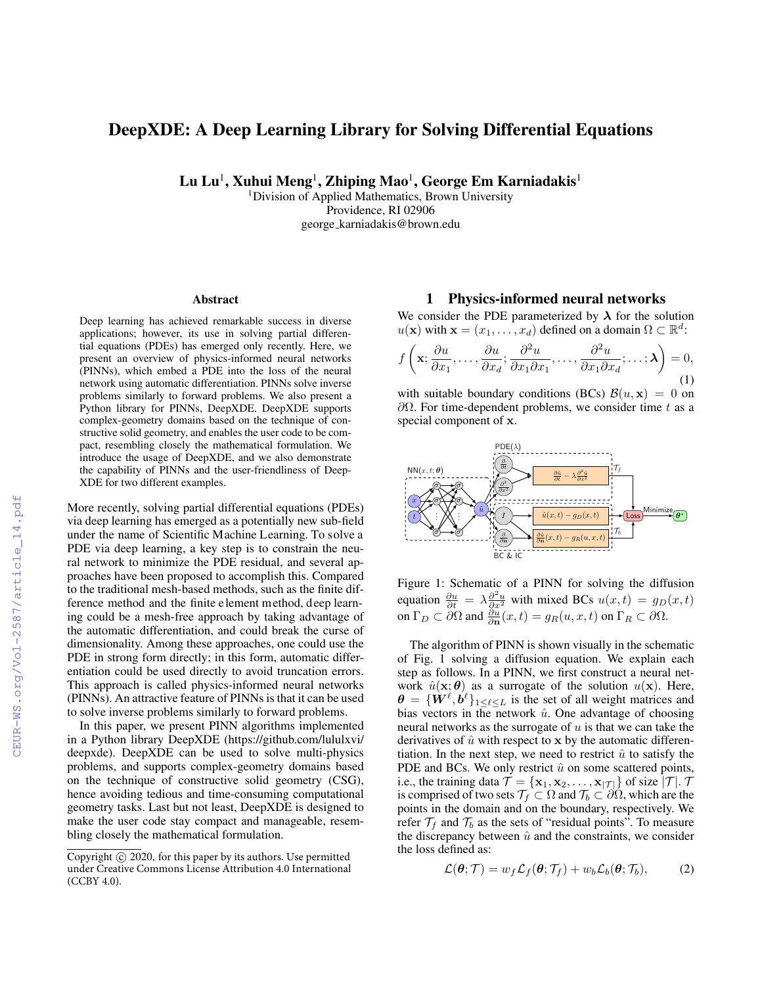# DeepXDE: A Deep Learning Library for Solving Differential Equations

Lu Lu $^1$ , Xuhui Meng $^1$ , Zhiping Mao $^1$ , George Em Karniadakis $^1$ 

<sup>1</sup>Division of Applied Mathematics, Brown University Providence, RI 02906 george karniadakis@brown.edu

### Abstract

Deep learning has achieved remarkable success in diverse applications; however, its use in solving partial differential equations (PDEs) has emerged only recently. Here, we present an overview of physics-informed neural networks (PINNs), which embed a PDE into the loss of the neural network using automatic differentiation. PINNs solve inverse problems similarly to forward problems. We also present a Python library for PINNs, DeepXDE. DeepXDE supports complex-geometry domains based on the technique of constructive solid geometry, and enables the user code to be compact, resembling closely the mathematical formulation. We introduce the usage of DeepXDE, and we also demonstrate the capability of PINNs and the user-friendliness of Deep-XDE for two different examples.

More recently, solving partial differential equations (PDEs) via deep learning has emerged as a potentially new sub-field under the name of Scientific Machine Learning. To solve a PDE via deep learning, a key step is to constrain the neural network to minimize the PDE residual, and several approaches have been proposed to accomplish this. Compared to the traditional mesh-based methods, such as the finite difference method and the finite element method, deep learning could be a mesh-free approach by taking advantage of the automatic differentiation, and could break the curse of dimensionality. Among these approaches, one could use the PDE in strong form directly; in this form, automatic differentiation could be used directly to avoid truncation errors. This approach is called physics-informed neural networks (PINNs). An attractive feature of PINNs is that it can be used to solve inverse problems similarly to forward problems.

In this paper, we present PINN algorithms implemented in a Python library DeepXDE (https://github.com/lululxvi/ deepxde). DeepXDE can be used to solve multi-physics problems, and supports complex-geometry domains based on the technique of constructive solid geometry (CSG), hence avoiding tedious and time-consuming computational geometry tasks. Last but not least, DeepXDE is designed to make the user code stay compact and manageable, resembling closely the mathematical formulation.

### 1 Physics-informed neural networks

We consider the PDE parameterized by  $\lambda$  for the solution  $u(\mathbf{x})$  with  $\mathbf{x} = (x_1, \ldots, x_d)$  defined on a domain  $\Omega \subset \mathbb{R}^d$ :

$$
f\left(\mathbf{x}; \frac{\partial u}{\partial x_1}, \dots, \frac{\partial u}{\partial x_d}; \frac{\partial^2 u}{\partial x_1 \partial x_1}, \dots, \frac{\partial^2 u}{\partial x_1 \partial x_d}; \dots; \boldsymbol{\lambda}\right) = 0,
$$
\n(1)

with suitable boundary conditions (BCs)  $\mathcal{B}(u, \mathbf{x}) = 0$  on  $\partial Ω$ . For time-dependent problems, we consider time t as a special component of x.



Figure 1: Schematic of a PINN for solving the diffusion equation  $\frac{\partial u}{\partial t} = \lambda \frac{\partial^2 u}{\partial x^2}$  with mixed BCs  $u(x,t) = g_D(x,t)$ on  $\Gamma_D \subset \partial \Omega$  and  $\frac{\partial u}{\partial \mathbf{n}}(x,t) = g_R(u,x,t)$  on  $\Gamma_R \subset \partial \Omega$ .

The algorithm of PINN is shown visually in the schematic of Fig. 1 solving a diffusion equation. We explain each step as follows. In a PINN, we first construct a neural network  $\hat{u}(\mathbf{x}; \theta)$  as a surrogate of the solution  $u(\mathbf{x})$ . Here,  $\boldsymbol{\theta} = \{ \boldsymbol{W}^{\ell}, \boldsymbol{b}^{\ell} \}_{1 \leq \ell \leq L}$  is the set of all weight matrices and bias vectors in the network  $\hat{u}$ . One advantage of choosing neural networks as the surrogate of  $u$  is that we can take the derivatives of  $\hat{u}$  with respect to x by the automatic differentiation. In the next step, we need to restrict  $\hat{u}$  to satisfy the PDE and BCs. We only restrict  $\hat{u}$  on some scattered points, i.e., the training data  $\mathcal{T} = {\mathbf{x}_1, \mathbf{x}_2, ..., \mathbf{x}_{|\mathcal{T}|}}$  of size  $|\mathcal{T}|$ . T is comprised of two sets  $\mathcal{T}_f \subset \Omega$  and  $\mathcal{T}_b \subset \partial \Omega$ , which are the points in the domain and on the boundary, respectively. We refer  $\mathcal{T}_f$  and  $\mathcal{T}_b$  as the sets of "residual points". To measure the discrepancy between  $\hat{u}$  and the constraints, we consider the loss defined as:

$$
\mathcal{L}(\boldsymbol{\theta};\mathcal{T}) = w_f \mathcal{L}_f(\boldsymbol{\theta};\mathcal{T}_f) + w_b \mathcal{L}_b(\boldsymbol{\theta};\mathcal{T}_b), \qquad (2)
$$

Copyright © 2020, for this paper by its authors. Use permitted under Creative Commons License Attribution 4.0 International (CCBY 4.0).